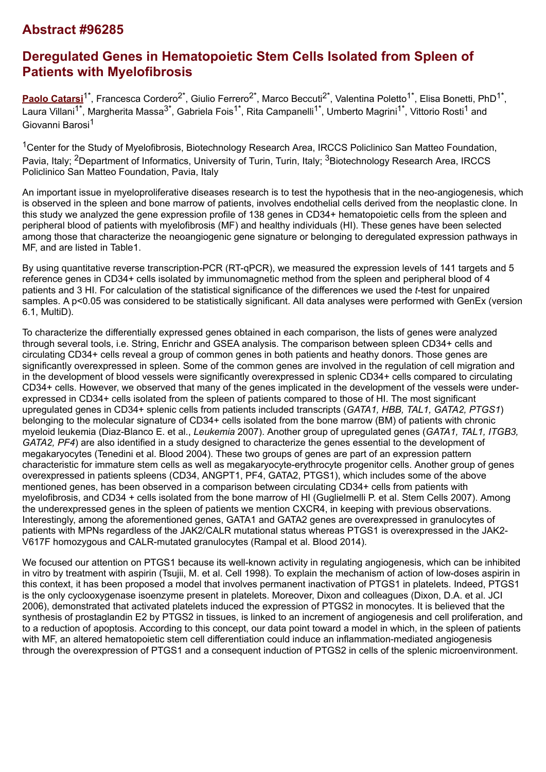## **Abstract #96285**

# **Deregulated Genes in Hematopoietic Stem Cells Isolated from Spleen of Patients with Myelofibrosis**

[Paolo Catarsi](mailto:p.catarsi@smatteo.pv.it)<sup>1\*</sup>, Francesca Cordero<sup>2\*</sup>, Giulio Ferrero<sup>2\*</sup>, Marco Beccuti<sup>2\*</sup>, Valentina Poletto<sup>1\*</sup>, Elisa Bonetti, PhD<sup>1\*</sup>, Laura Villani<sup>1\*</sup>, Margherita Massa<sup>3\*</sup>, Gabriela Fois<sup>1\*</sup>, Rita Campanelli<sup>1\*</sup>, Umberto Magrini<sup>1\*</sup>, Vittorio Rosti<sup>1</sup> and Giovanni Barosi<sup>1</sup>

<sup>1</sup>Center for the Study of Myelofibrosis, Biotechnology Research Area, IRCCS Policlinico San Matteo Foundation, Pavia, Italy; <sup>2</sup>Department of Informatics, University of Turin, Turin, Italy; <sup>3</sup>Biotechnology Research Area, IRCCS Policlinico San Matteo Foundation, Pavia, Italy

An important issue in myeloproliferative diseases research is to test the hypothesis that in the neo-angiogenesis, which is observed in the spleen and bone marrow of patients, involves endothelial cells derived from the neoplastic clone. In this study we analyzed the gene expression profile of 138 genes in CD34+ hematopoietic cells from the spleen and peripheral blood of patients with myelofibrosis (MF) and healthy individuals (HI). These genes have been selected among those that characterize the neoangiogenic gene signature or belonging to deregulated expression pathways in MF, and are listed in Table1.

By using quantitative reverse transcription-PCR (RT-qPCR), we measured the expression levels of 141 targets and 5 reference genes in CD34+ cells isolated by immunomagnetic method from the spleen and peripheral blood of 4 patients and 3 HI. For calculation of the statistical significance of the differences we used the *t*-test for unpaired samples. A p<0.05 was considered to be statistically significant. All data analyses were performed with GenEx (version 6.1, MultiD).

To characterize the differentially expressed genes obtained in each comparison, the lists of genes were analyzed through several tools, i.e. String, Enrichr and GSEA analysis. The comparison between spleen CD34+ cells and circulating CD34+ cells reveal a group of common genes in both patients and heathy donors. Those genes are significantly overexpressed in spleen. Some of the common genes are involved in the regulation of cell migration and in the development of blood vessels were significantly overexpressed in splenic CD34+ cells compared to circulating CD34+ cells. However, we observed that many of the genes implicated in the development of the vessels were underexpressed in CD34+ cells isolated from the spleen of patients compared to those of HI. The most significant upregulated genes in CD34+ splenic cells from patients included transcripts (*GATA1, HBB, TAL1, GATA2, PTGS1*) belonging to the molecular signature of CD34+ cells isolated from the bone marrow (BM) of patients with chronic myeloid leukemia (Diaz-Blanco E. et al., *Leukemia* 2007). Another group of upregulated genes (*GATA1, TAL1, ITGB3, GATA2, PF4*) are also identified in a study designed to characterize the genes essential to the development of megakaryocytes (Tenedini et al. Blood 2004). These two groups of genes are part of an expression pattern characteristic for immature stem cells as well as megakaryocyte-erythrocyte progenitor cells. Another group of genes overexpressed in patients spleens (CD34, ANGPT1, PF4, GATA2, PTGS1), which includes some of the above mentioned genes, has been observed in a comparison between circulating CD34+ cells from patients with myelofibrosis, and CD34 + cells isolated from the bone marrow of HI (Guglielmelli P. et al. Stem Cells 2007). Among the underexpressed genes in the spleen of patients we mention CXCR4, in keeping with previous observations. Interestingly, among the aforementioned genes, GATA1 and GATA2 genes are overexpressed in granulocytes of patients with MPNs regardless of the JAK2/CALR mutational status whereas PTGS1 is overexpressed in the JAK2- V617F homozygous and CALR-mutated granulocytes (Rampal et al. Blood 2014).

We focused our attention on PTGS1 because its well-known activity in regulating angiogenesis, which can be inhibited in vitro by treatment with aspirin (Tsujii, M. et al. Cell 1998). To explain the mechanism of action of low-doses aspirin in this context, it has been proposed a model that involves permanent inactivation of PTGS1 in platelets. Indeed, PTGS1 is the only cyclooxygenase isoenzyme present in platelets. Moreover, Dixon and colleagues (Dixon, D.A. et al. JCI 2006), demonstrated that activated platelets induced the expression of PTGS2 in monocytes. It is believed that the synthesis of prostaglandin E2 by PTGS2 in tissues, is linked to an increment of angiogenesis and cell proliferation, and to a reduction of apoptosis. According to this concept, our data point toward a model in which, in the spleen of patients with MF, an altered hematopoietic stem cell differentiation could induce an inflammation-mediated angiogenesis through the overexpression of PTGS1 and a consequent induction of PTGS2 in cells of the splenic microenvironment.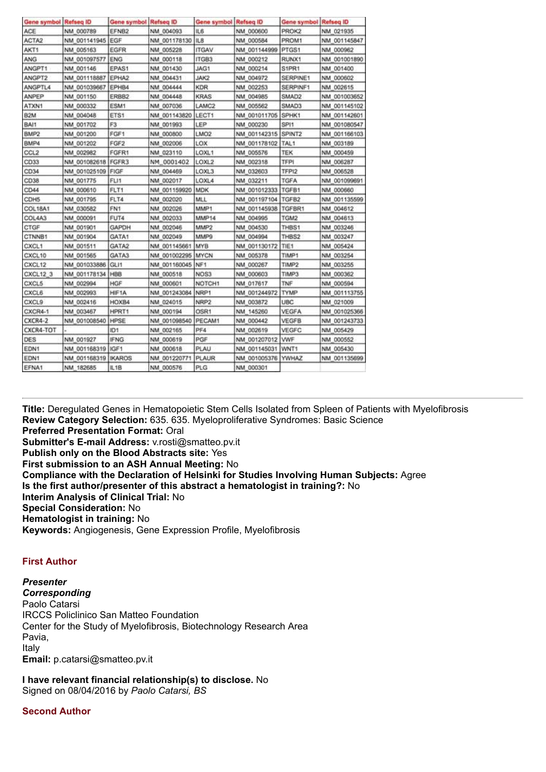| Gene symbol Refseq ID |              | Gene symbol Refseq ID |              | Gene symbol Refseq ID |                     | Gene symbol Refseq ID |              |
|-----------------------|--------------|-----------------------|--------------|-----------------------|---------------------|-----------------------|--------------|
| ACE                   | NM 000789    | EFNB2                 | NM 004093    | <b>IL6</b>            | NM 000600           | PROK2                 | NM 021935    |
| ACTA2                 | NM 001141945 | EGF                   | NM 001178130 | IL <sub>8</sub>       | NM 000584           | PROM1                 | NM 001145847 |
| AKT1                  | NM 005163    | EGFR                  | NM 005228    | <b>ITGAV</b>          | NM 001144999        | PTGS1                 | NM 000962    |
| ANG                   | NM 001097577 | ENG                   | NM 000118    | ITGB3                 | NM 000212           | RUNX1                 | NM 001001890 |
| ANGPT1                | NM 001146    | EPAS1                 | NM 001430    | JAG1                  | NM 000214           | S1PR1                 | NM 001400    |
| ANGPT2                | NM 001118887 | EPHA2                 | NM 004431    | JAK2                  | NM 004972           | SERPINE1              | NM 000602    |
| ANGPTL4               | NM 001039667 | EPHB4                 | NM 004444    | <b>KDR</b>            | NM 002253           | SERPINF1              | NM 002615    |
| <b>ANPEP</b>          | NM 001150    | ERBB2                 | NM 004448    | <b>KRAS</b>           | NM 004985           | SMAD2                 | NM 001003652 |
| ATXN1                 | NM 000332    | ESM1                  | NM 007036    | LAMC <sub>2</sub>     | NM 005562           | SMAD3                 | NM 001145102 |
| <b>B2M</b>            | NM 004048    | ETS1                  | NM 001143820 | LECT1                 | NM 001011705        | SPHK1                 | NM 001142601 |
| BAI1                  | NM 001702    | F3                    | NM 001993    | LEP                   | NM 000230           | SP <sub>11</sub>      | NM 001080547 |
| BMP2                  | NM 001200    | FGF1                  | NM 000800    | LMO <sub>2</sub>      | NM 001142315 SPINT2 |                       | NM 001166103 |
| BMP4                  | NM 001202    | FGF2                  | NM 002006    | LOX                   | NM 001178102        | TAL1                  | NM 003189    |
| CCL <sub>2</sub>      | NM 002982    | FGFR1                 | NM 023110    | LOXL1                 | NM 005576           | <b>TEK</b>            | NM 000459    |
| CD33                  | NM 001082618 | FGFR3                 | NM 0001402   | LOXL2                 | NM 002318           | TFPI                  | NM 006287    |
| CD34                  | NM 001025109 | FIGF                  | NM 004469    | LOXL3                 | NM 032603           | TFPI2                 | NM 006528    |
| CD38                  | NM 001775    | FLI1                  | NM 002017    | LOXL4                 | NM 032211           | <b>TGFA</b>           | NM 001099691 |
| CD44                  | NM 000610    | FLT1                  | NM 001159920 | <b>MDK</b>            | NM 001012333        | TGFB1                 | NM 000660    |
| CDH5                  | NM 001795    | FLT4                  | NM 002020    | MLL                   | NM 001197104        | TGFB2                 | NM 001135599 |
| <b>COL18A1</b>        | NM 030582    | FN <sub>1</sub>       | NM 002026    | MMP1                  | NM 001145938        | TGFBR1                | NM 004612    |
| COL4A3                | NM 000091    | FUT4                  | NM 002033    | MMP14                 | NM 004995           | TGM2                  | NM 004613    |
| CTGF                  | NM 001901    | GAPDH                 | NM 002046    | MMP2                  | NM 004530           | THBS1                 | NM 003246    |
| CTNNB1                | NM 001904    | GATA1                 | NM 002049    | MMP9                  | NM 004994           | THBS2                 | NM 003247    |
| CXCL1                 | NM 001511    | GATA2                 | NM 001145661 | <b>MYB</b>            | NM 001130172        | TIE1                  | NM 005424    |
| CXCL10                | NM 001565    | GATA3                 | NM 001002295 | <b>MYCN</b>           | NM 005378           | TIMP1                 | NM 003254    |
| CXCL12                | NM 001033886 | GLI1                  | NM 001160045 | NF1                   | NM 000267           | TIMP2                 | NM 003255    |
| CXCL12 3              | NM 001178134 | HBB                   | NM 000518    | NOS3                  | NM 000603           | TIMP3                 | NM 000362    |
| <b>CXCL5</b>          | NM 002994    | HGF                   | NM 000601    | NOTCH <sub>1</sub>    | NM 017617           | TNF                   | NM 000594    |
| <b>CXCL6</b>          | NM 002993    | HIF1A                 | NM 001243084 | NRP1                  | NM 001244972        | <b>TYMP</b>           | NM 001113755 |
| CXCL <sub>9</sub>     | NM 002416    | HOXB4                 | NM 024015    | NRP2                  | NM 003872           | <b>UBC</b>            | NM 021009    |
| CXCR4-1               | NM 003467    | HPRT1                 | NM 000194    | OSR1                  | NM 145260           | VEGFA                 | NM 001025366 |
| <b>CXCR4-2</b>        | NM 001008540 | HPSE                  | NM 001098540 | PECAM1                | NM 000442           | VEGFB                 | NM 001243733 |
| CXCR4-TOT             |              | ID1                   | NM 002165    | PF4                   | NM 002619           | VEGFC                 | NM 005429    |
| DES                   | NM 001927    | <b>IFNG</b>           | NM 000619    | PGF                   | NM 001207012        | <b>VWF</b>            | NM 000552    |
| EDN1                  | NM 001168319 | IGF1                  | NM 000618    | PLAU                  | NM 001145031        | WNT1                  | NM 005430    |
| EDN1                  | NM 001168319 | <b>IKAROS</b>         | NM 001220771 | PLAUR                 | NM 001005376        | <b>YWHAZ</b>          | NM 001135699 |
| EFNA1                 | NM 182685    | IL1B                  | NM 000576    | PLG                   | NM 000301           |                       |              |

**Title:** Deregulated Genes in Hematopoietic Stem Cells Isolated from Spleen of Patients with Myelofibrosis **Review Category Selection:** 635. 635. Myeloproliferative Syndromes: Basic Science **Preferred Presentation Format:** Oral **Submitter's E-mail Address:** v.rosti@smatteo.pv.it **Publish only on the Blood Abstracts site:** Yes **First submission to an ASH Annual Meeting:** No **Compliance with the Declaration of Helsinki for Studies Involving Human Subjects:** Agree **Is the first author/presenter of this abstract a hematologist in training?:** No **Interim Analysis of Clinical Trial:** No **Special Consideration:** No **Hematologist in training:** No **Keywords:** Angiogenesis, Gene Expression Profile, Myelofibrosis

#### **First Author**

*Presenter Corresponding* Paolo Catarsi IRCCS Policlinico San Matteo Foundation Center for the Study of Myelofibrosis, Biotechnology Research Area Pavia, Italy **Email:** p.catarsi@smatteo.pv.it

**I have relevant financial relationship(s) to disclose.** No Signed on 08/04/2016 by *Paolo Catarsi, BS*

**Second Author**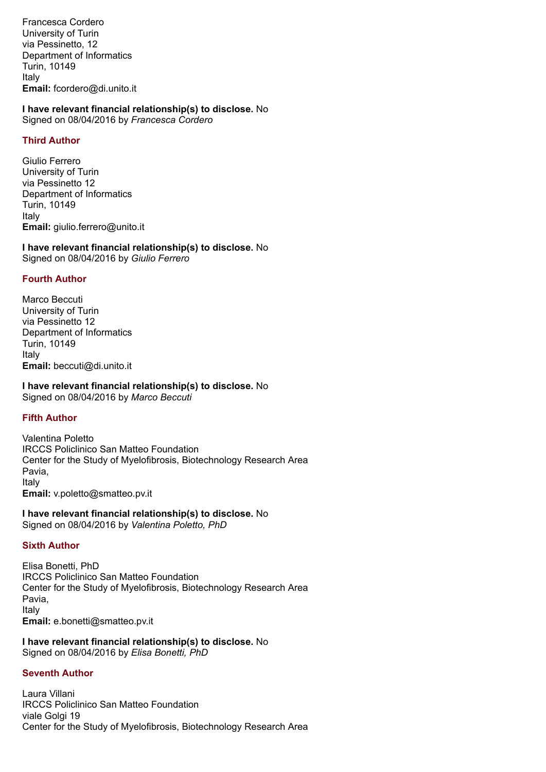Francesca Cordero University of Turin via Pessinetto, 12 Department of Informatics Turin, 10149 Italy **Email:** fcordero@di.unito.it

**I have relevant financial relationship(s) to disclose.** No Signed on 08/04/2016 by *Francesca Cordero*

#### **Third Author**

Giulio Ferrero University of Turin via Pessinetto 12 Department of Informatics Turin, 10149 Italy **Email:** giulio.ferrero@unito.it

**I have relevant financial relationship(s) to disclose.** No Signed on 08/04/2016 by *Giulio Ferrero*

## **Fourth Author**

Marco Beccuti University of Turin via Pessinetto 12 Department of Informatics Turin, 10149 Italy **Email:** beccuti@di.unito.it

**I have relevant financial relationship(s) to disclose.** No Signed on 08/04/2016 by *Marco Beccuti*

#### **Fifth Author**

Valentina Poletto IRCCS Policlinico San Matteo Foundation Center for the Study of Myelofibrosis, Biotechnology Research Area Pavia, Italy **Email:** v.poletto@smatteo.pv.it

**I have relevant financial relationship(s) to disclose.** No Signed on 08/04/2016 by *Valentina Poletto, PhD*

#### **Sixth Author**

Elisa Bonetti, PhD IRCCS Policlinico San Matteo Foundation Center for the Study of Myelofibrosis, Biotechnology Research Area Pavia, Italy **Email:** e.bonetti@smatteo.pv.it

**I have relevant financial relationship(s) to disclose.** No Signed on 08/04/2016 by *Elisa Bonetti, PhD*

## **Seventh Author**

Laura Villani IRCCS Policlinico San Matteo Foundation viale Golgi 19 Center for the Study of Myelofibrosis, Biotechnology Research Area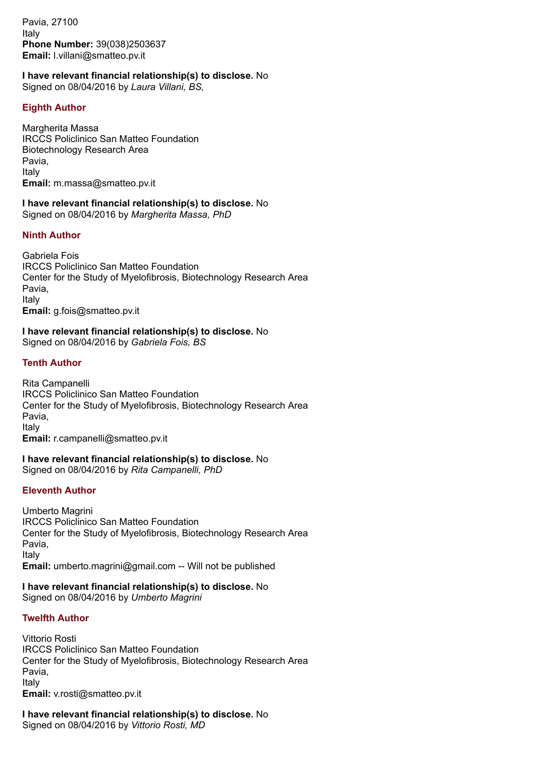Pavia, 27100 Italy **Phone Number:** 39(038)2503637 **Email:** l.villani@smatteo.pv.it

## **I have relevant financial relationship(s) to disclose.** No

Signed on 08/04/2016 by *Laura Villani, BS,*

## **Eighth Author**

Margherita Massa IRCCS Policlinico San Matteo Foundation Biotechnology Research Area Pavia, Italy **Email:** m.massa@smatteo.pv.it

**I have relevant financial relationship(s) to disclose.** No Signed on 08/04/2016 by *Margherita Massa, PhD*

## **Ninth Author**

Gabriela Fois IRCCS Policlinico San Matteo Foundation Center for the Study of Myelofibrosis, Biotechnology Research Area Pavia, Italy **Email:** g.fois@smatteo.pv.it

**I have relevant financial relationship(s) to disclose.** No Signed on 08/04/2016 by *Gabriela Fois, BS*

### **Tenth Author**

Rita Campanelli IRCCS Policlinico San Matteo Foundation Center for the Study of Myelofibrosis, Biotechnology Research Area Pavia, Italy **Email:** r.campanelli@smatteo.pv.it

**I have relevant financial relationship(s) to disclose.** No Signed on 08/04/2016 by *Rita Campanelli, PhD*

#### **Eleventh Author**

Umberto Magrini IRCCS Policlinico San Matteo Foundation Center for the Study of Myelofibrosis, Biotechnology Research Area Pavia, Italy **Email:** umberto.magrini@gmail.com -- Will not be published

#### **I have relevant financial relationship(s) to disclose.** No Signed on 08/04/2016 by *Umberto Magrini*

#### **Twelfth Author**

Vittorio Rosti IRCCS Policlinico San Matteo Foundation Center for the Study of Myelofibrosis, Biotechnology Research Area Pavia, Italy **Email:** v.rosti@smatteo.pv.it

**I have relevant financial relationship(s) to disclose.** No Signed on 08/04/2016 by *Vittorio Rosti, MD*